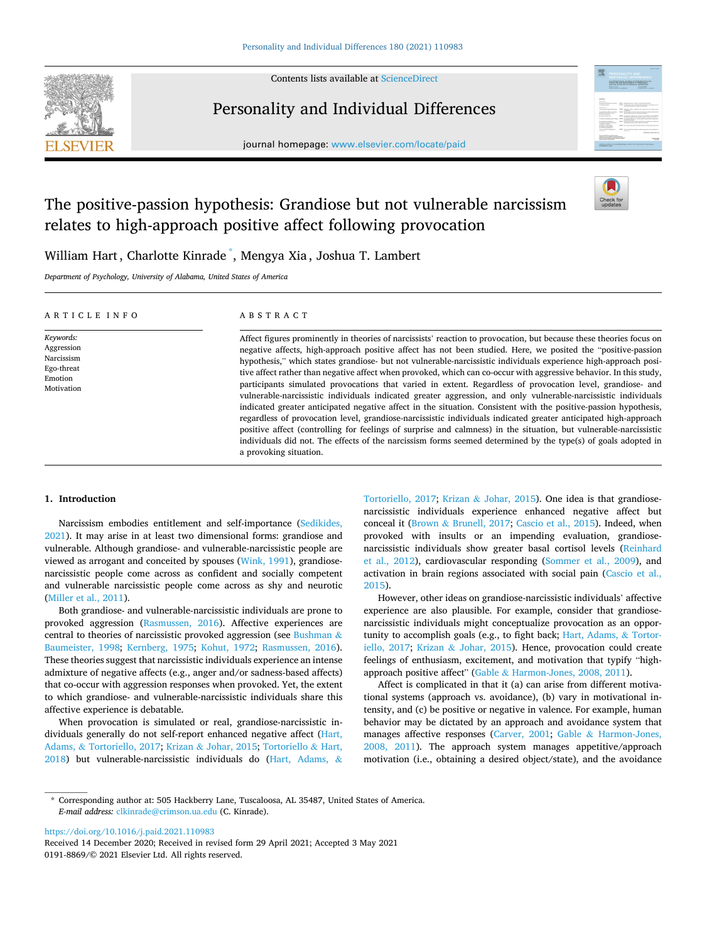

Contents lists available at [ScienceDirect](www.sciencedirect.com/science/journal/01918869)

# Personality and Individual Differences

journal homepage: [www.elsevier.com/locate/paid](https://www.elsevier.com/locate/paid)



# The positive-passion hypothesis: Grandiose but not vulnerable narcissism relates to high-approach positive affect following provocation



William Hart, Charlotte Kinrade \* , Mengya Xia , Joshua T. Lambert

*Department of Psychology, University of Alabama, United States of America* 

| ARTICLE INFO                                                                 | ABSTRACT                                                                                                                                                                                                                                                                                                                                                                                                                                                                                                                                                                                                                                                                                                                                                                                                                                                                                                                                                                                                                                                                                                                                                                                                            |
|------------------------------------------------------------------------------|---------------------------------------------------------------------------------------------------------------------------------------------------------------------------------------------------------------------------------------------------------------------------------------------------------------------------------------------------------------------------------------------------------------------------------------------------------------------------------------------------------------------------------------------------------------------------------------------------------------------------------------------------------------------------------------------------------------------------------------------------------------------------------------------------------------------------------------------------------------------------------------------------------------------------------------------------------------------------------------------------------------------------------------------------------------------------------------------------------------------------------------------------------------------------------------------------------------------|
| Keywords:<br>Aggression<br>Narcissism<br>Ego-threat<br>Emotion<br>Motivation | Affect figures prominently in theories of narcissists' reaction to provocation, but because these theories focus on<br>negative affects, high-approach positive affect has not been studied. Here, we posited the "positive-passion<br>hypothesis," which states grandiose- but not vulnerable-narcissistic individuals experience high-approach posi-<br>tive affect rather than negative affect when provoked, which can co-occur with aggressive behavior. In this study,<br>participants simulated provocations that varied in extent. Regardless of provocation level, grandiose- and<br>vulnerable-narcissistic individuals indicated greater aggression, and only vulnerable-narcissistic individuals<br>indicated greater anticipated negative affect in the situation. Consistent with the positive-passion hypothesis,<br>regardless of provocation level, grandiose-narcissistic individuals indicated greater anticipated high-approach<br>positive affect (controlling for feelings of surprise and calmness) in the situation, but vulnerable-narcissistic<br>individuals did not. The effects of the narcissism forms seemed determined by the type(s) of goals adopted in<br>a provoking situation. |

# **1. Introduction**

Narcissism embodies entitlement and self-importance [\(Sedikides,](#page-6-0)  [2021\)](#page-6-0). It may arise in at least two dimensional forms: grandiose and vulnerable. Although grandiose- and vulnerable-narcissistic people are viewed as arrogant and conceited by spouses ([Wink, 1991](#page-6-0)), grandiosenarcissistic people come across as confident and socially competent and vulnerable narcissistic people come across as shy and neurotic ([Miller et al., 2011](#page-6-0)).

Both grandiose- and vulnerable-narcissistic individuals are prone to provoked aggression ([Rasmussen, 2016\)](#page-6-0). Affective experiences are central to theories of narcissistic provoked aggression (see [Bushman](#page-5-0) & [Baumeister, 1998](#page-5-0); [Kernberg, 1975](#page-6-0); [Kohut, 1972;](#page-6-0) [Rasmussen, 2016](#page-6-0)). These theories suggest that narcissistic individuals experience an intense admixture of negative affects (e.g., anger and/or sadness-based affects) that co-occur with aggression responses when provoked. Yet, the extent to which grandiose- and vulnerable-narcissistic individuals share this affective experience is debatable.

When provocation is simulated or real, grandiose-narcissistic individuals generally do not self-report enhanced negative affect ([Hart,](#page-6-0)  Adams, & [Tortoriello, 2017](#page-6-0); Krizan & [Johar, 2015;](#page-6-0) [Tortoriello](#page-6-0) & Hart, [2018\)](#page-6-0) but vulnerable-narcissistic individuals do [\(Hart, Adams,](#page-6-0) &

[Tortoriello, 2017;](#page-6-0) Krizan & [Johar, 2015](#page-6-0)). One idea is that grandiosenarcissistic individuals experience enhanced negative affect but conceal it (Brown & [Brunell, 2017](#page-5-0); [Cascio et al., 2015\)](#page-6-0). Indeed, when provoked with insults or an impending evaluation, grandiosenarcissistic individuals show greater basal cortisol levels [\(Reinhard](#page-6-0)  [et al., 2012\)](#page-6-0), cardiovascular responding ([Sommer et al., 2009\)](#page-6-0), and activation in brain regions associated with social pain ([Cascio et al.,](#page-6-0)  [2015\)](#page-6-0).

However, other ideas on grandiose-narcissistic individuals' affective experience are also plausible. For example, consider that grandiosenarcissistic individuals might conceptualize provocation as an opportunity to accomplish goals (e.g., to fight back; [Hart, Adams,](#page-6-0) & Tortor[iello, 2017;](#page-6-0) Krizan & [Johar, 2015](#page-6-0)). Hence, provocation could create feelings of enthusiasm, excitement, and motivation that typify "highapproach positive affect" (Gable & [Harmon-Jones, 2008, 2011\)](#page-6-0).

Affect is complicated in that it (a) can arise from different motivational systems (approach vs. avoidance), (b) vary in motivational intensity, and (c) be positive or negative in valence. For example, human behavior may be dictated by an approach and avoidance system that manages affective responses [\(Carver, 2001;](#page-6-0) Gable & [Harmon-Jones,](#page-6-0)  [2008, 2011\)](#page-6-0). The approach system manages appetitive/approach motivation (i.e., obtaining a desired object/state), and the avoidance

<https://doi.org/10.1016/j.paid.2021.110983>

0191-8869/© 2021 Elsevier Ltd. All rights reserved. Received 14 December 2020; Received in revised form 29 April 2021; Accepted 3 May 2021

<sup>\*</sup> Corresponding author at: 505 Hackberry Lane, Tuscaloosa, AL 35487, United States of America. *E-mail address:* [clkinrade@crimson.ua.edu](mailto:clkinrade@crimson.ua.edu) (C. Kinrade).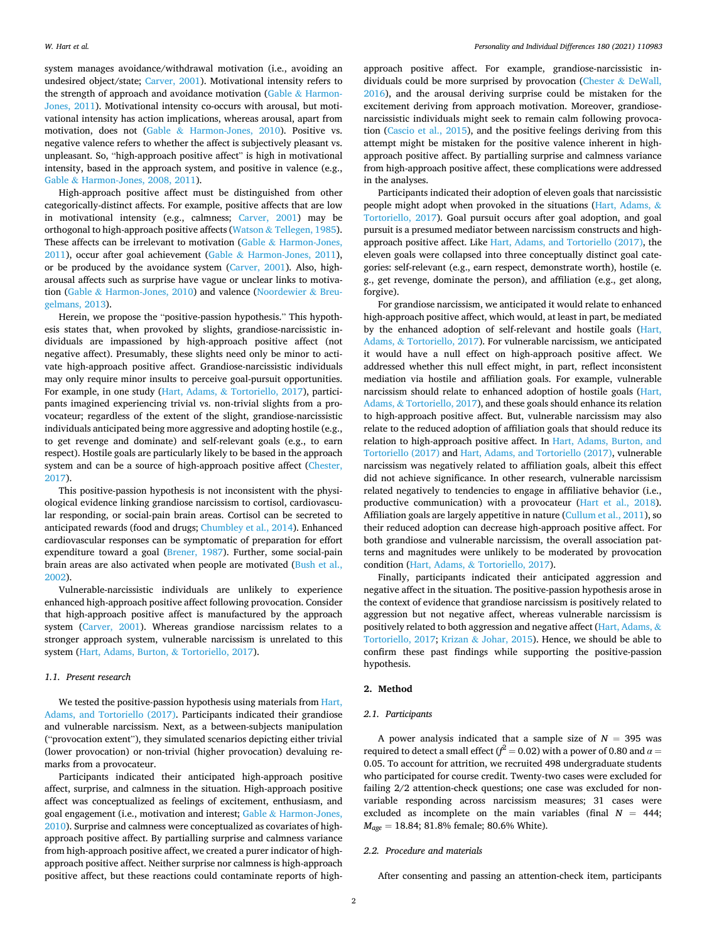system manages avoidance/withdrawal motivation (i.e., avoiding an undesired object/state; [Carver, 2001\)](#page-6-0). Motivational intensity refers to the strength of approach and avoidance motivation (Gable & [Harmon-](#page-6-0)[Jones, 2011](#page-6-0)). Motivational intensity co-occurs with arousal, but motivational intensity has action implications, whereas arousal, apart from motivation, does not (Gable & [Harmon-Jones, 2010](#page-6-0)). Positive vs. negative valence refers to whether the affect is subjectively pleasant vs. unpleasant. So, "high-approach positive affect" is high in motivational intensity, based in the approach system, and positive in valence (e.g., Gable & [Harmon-Jones, 2008, 2011](#page-6-0)).

High-approach positive affect must be distinguished from other categorically-distinct affects. For example, positive affects that are low in motivational intensity (e.g., calmness; [Carver, 2001\)](#page-6-0) may be orthogonal to high-approach positive affects (Watson & [Tellegen, 1985](#page-6-0)). These affects can be irrelevant to motivation (Gable  $\&$  Harmon-Jones, [2011\)](#page-6-0), occur after goal achievement (Gable & [Harmon-Jones, 2011](#page-6-0)), or be produced by the avoidance system ([Carver, 2001\)](#page-6-0). Also, higharousal affects such as surprise have vague or unclear links to motivation (Gable & [Harmon-Jones, 2010\)](#page-6-0) and valence ([Noordewier](#page-6-0) & Breu[gelmans, 2013](#page-6-0)).

Herein, we propose the "positive-passion hypothesis." This hypothesis states that, when provoked by slights, grandiose-narcissistic individuals are impassioned by high-approach positive affect (not negative affect). Presumably, these slights need only be minor to activate high-approach positive affect. Grandiose-narcissistic individuals may only require minor insults to perceive goal-pursuit opportunities. For example, in one study (Hart, Adams, & [Tortoriello, 2017](#page-6-0)), participants imagined experiencing trivial vs. non-trivial slights from a provocateur; regardless of the extent of the slight, grandiose-narcissistic individuals anticipated being more aggressive and adopting hostile (e.g., to get revenge and dominate) and self-relevant goals (e.g., to earn respect). Hostile goals are particularly likely to be based in the approach system and can be a source of high-approach positive affect [\(Chester,](#page-6-0)  [2017\)](#page-6-0).

This positive-passion hypothesis is not inconsistent with the physiological evidence linking grandiose narcissism to cortisol, cardiovascular responding, or social-pain brain areas. Cortisol can be secreted to anticipated rewards (food and drugs; [Chumbley et al., 2014\)](#page-6-0). Enhanced cardiovascular responses can be symptomatic of preparation for effort expenditure toward a goal ([Brener, 1987\)](#page-5-0). Further, some social-pain brain areas are also activated when people are motivated ([Bush et al.,](#page-5-0)  [2002\)](#page-5-0)

Vulnerable-narcissistic individuals are unlikely to experience enhanced high-approach positive affect following provocation. Consider that high-approach positive affect is manufactured by the approach system ([Carver, 2001](#page-6-0)). Whereas grandiose narcissism relates to a stronger approach system, vulnerable narcissism is unrelated to this system ([Hart, Adams, Burton,](#page-6-0) & Tortoriello, 2017).

#### *1.1. Present research*

We tested the positive-passion hypothesis using materials from Hart, [Adams, and Tortoriello \(2017\)](#page-6-0). Participants indicated their grandiose and vulnerable narcissism. Next, as a between-subjects manipulation ("provocation extent"), they simulated scenarios depicting either trivial (lower provocation) or non-trivial (higher provocation) devaluing remarks from a provocateur.

Participants indicated their anticipated high-approach positive affect, surprise, and calmness in the situation. High-approach positive affect was conceptualized as feelings of excitement, enthusiasm, and goal engagement (i.e., motivation and interest; Gable & [Harmon-Jones,](#page-6-0)  [2010\)](#page-6-0). Surprise and calmness were conceptualized as covariates of highapproach positive affect. By partialling surprise and calmness variance from high-approach positive affect, we created a purer indicator of highapproach positive affect. Neither surprise nor calmness is high-approach positive affect, but these reactions could contaminate reports of highapproach positive affect. For example, grandiose-narcissistic individuals could be more surprised by provocation [\(Chester](#page-6-0) & DeWall, [2016\)](#page-6-0), and the arousal deriving surprise could be mistaken for the excitement deriving from approach motivation. Moreover, grandiosenarcissistic individuals might seek to remain calm following provocation ([Cascio et al., 2015\)](#page-6-0), and the positive feelings deriving from this attempt might be mistaken for the positive valence inherent in highapproach positive affect. By partialling surprise and calmness variance from high-approach positive affect, these complications were addressed in the analyses.

Participants indicated their adoption of eleven goals that narcissistic people might adopt when provoked in the situations ([Hart, Adams,](#page-6-0) & [Tortoriello, 2017](#page-6-0)). Goal pursuit occurs after goal adoption, and goal pursuit is a presumed mediator between narcissism constructs and highapproach positive affect. Like [Hart, Adams, and Tortoriello \(2017\),](#page-6-0) the eleven goals were collapsed into three conceptually distinct goal categories: self-relevant (e.g., earn respect, demonstrate worth), hostile (e. g., get revenge, dominate the person), and affiliation (e.g., get along, forgive).

For grandiose narcissism, we anticipated it would relate to enhanced high-approach positive affect, which would, at least in part, be mediated by the enhanced adoption of self-relevant and hostile goals ([Hart,](#page-6-0)  Adams, & [Tortoriello, 2017\)](#page-6-0). For vulnerable narcissism, we anticipated it would have a null effect on high-approach positive affect. We addressed whether this null effect might, in part, reflect inconsistent mediation via hostile and affiliation goals. For example, vulnerable narcissism should relate to enhanced adoption of hostile goals ([Hart,](#page-6-0)  Adams, & [Tortoriello, 2017](#page-6-0)), and these goals should enhance its relation to high-approach positive affect. But, vulnerable narcissism may also relate to the reduced adoption of affiliation goals that should reduce its relation to high-approach positive affect. In [Hart, Adams, Burton, and](#page-6-0)  [Tortoriello \(2017\)](#page-6-0) and [Hart, Adams, and Tortoriello \(2017\),](#page-6-0) vulnerable narcissism was negatively related to affiliation goals, albeit this effect did not achieve significance. In other research, vulnerable narcissism related negatively to tendencies to engage in affiliative behavior (i.e., productive communication) with a provocateur ([Hart et al., 2018](#page-6-0)). Affiliation goals are largely appetitive in nature ([Cullum et al., 2011](#page-6-0)), so their reduced adoption can decrease high-approach positive affect. For both grandiose and vulnerable narcissism, the overall association patterns and magnitudes were unlikely to be moderated by provocation condition (Hart, Adams, & [Tortoriello, 2017](#page-6-0)).

Finally, participants indicated their anticipated aggression and negative affect in the situation. The positive-passion hypothesis arose in the context of evidence that grandiose narcissism is positively related to aggression but not negative affect, whereas vulnerable narcissism is positively related to both aggression and negative affect [\(Hart, Adams,](#page-6-0) & [Tortoriello, 2017](#page-6-0); Krizan & [Johar, 2015\)](#page-6-0). Hence, we should be able to confirm these past findings while supporting the positive-passion hypothesis.

#### **2. Method**

### *2.1. Participants*

A power analysis indicated that a sample size of  $N = 395$  was required to detect a small effect ( $f^2$  = 0.02) with a power of 0.80 and  $\alpha$  = 0.05. To account for attrition, we recruited 498 undergraduate students who participated for course credit. Twenty-two cases were excluded for failing 2/2 attention-check questions; one case was excluded for nonvariable responding across narcissism measures; 31 cases were excluded as incomplete on the main variables (final  $N = 444$ ; *Mage* = 18.84; 81.8% female; 80.6% White).

## *2.2. Procedure and materials*

After consenting and passing an attention-check item, participants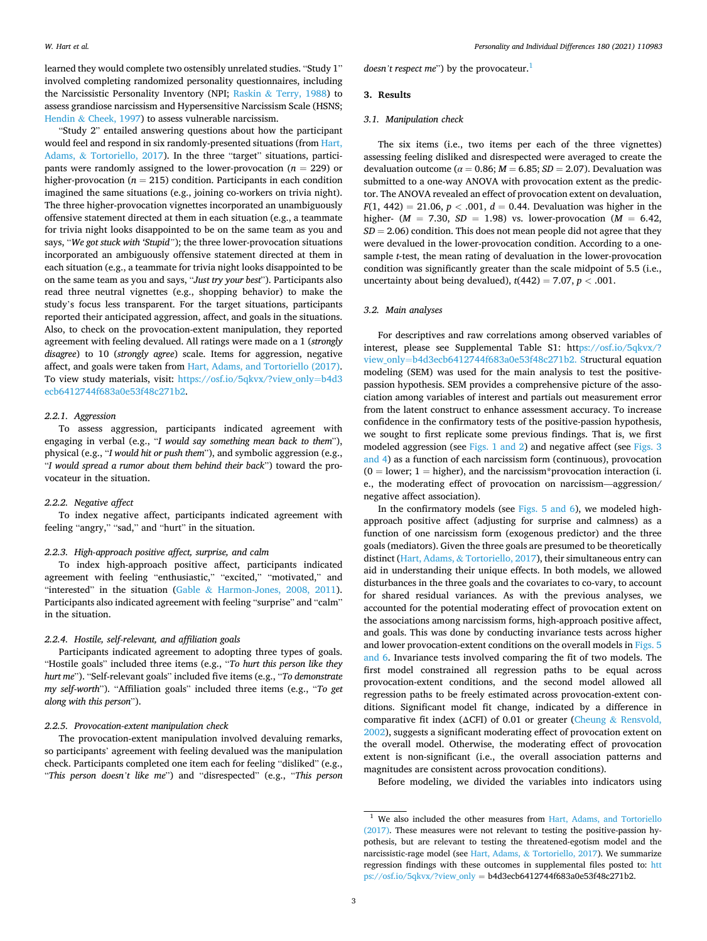learned they would complete two ostensibly unrelated studies. "Study 1" involved completing randomized personality questionnaires, including the Narcissistic Personality Inventory (NPI; Raskin & [Terry, 1988](#page-6-0)) to assess grandiose narcissism and Hypersensitive Narcissism Scale (HSNS; Hendin & [Cheek, 1997\)](#page-6-0) to assess vulnerable narcissism.

"Study 2" entailed answering questions about how the participant would feel and respond in six randomly-presented situations (from [Hart,](#page-6-0)  Adams, & [Tortoriello, 2017\)](#page-6-0). In the three "target" situations, participants were randomly assigned to the lower-provocation ( $n = 229$ ) or higher-provocation ( $n = 215$ ) condition. Participants in each condition imagined the same situations (e.g., joining co-workers on trivia night). The three higher-provocation vignettes incorporated an unambiguously offensive statement directed at them in each situation (e.g., a teammate for trivia night looks disappointed to be on the same team as you and says, "*We got stuck with 'Stupid"*); the three lower-provocation situations incorporated an ambiguously offensive statement directed at them in each situation (e.g., a teammate for trivia night looks disappointed to be on the same team as you and says, "*Just try your best*"). Participants also read three neutral vignettes (e.g., shopping behavior) to make the study's focus less transparent. For the target situations, participants reported their anticipated aggression, affect, and goals in the situations. Also, to check on the provocation-extent manipulation, they reported agreement with feeling devalued. All ratings were made on a 1 (*strongly disagree*) to 10 (*strongly agree*) scale. Items for aggression, negative affect, and goals were taken from [Hart, Adams, and Tortoriello \(2017\)](#page-6-0). To view study materials, visit: [https://osf.io/5qkvx/?view\\_only](https://osf.io/5qkvx/?view_only=b4d3ecb6412744f683a0e53f48c271b2)=b4d3 [ecb6412744f683a0e53f48c271b2](https://osf.io/5qkvx/?view_only=b4d3ecb6412744f683a0e53f48c271b2).

## *2.2.1. Aggression*

To assess aggression, participants indicated agreement with engaging in verbal (e.g., "*I would say something mean back to them*"), physical (e.g., "*I would hit or push them*"), and symbolic aggression (e.g., "*I would spread a rumor about them behind their back*") toward the provocateur in the situation.

#### *2.2.2. Negative affect*

To index negative affect, participants indicated agreement with feeling "angry," "sad," and "hurt" in the situation.

## *2.2.3. High-approach positive affect, surprise, and calm*

To index high-approach positive affect, participants indicated agreement with feeling "enthusiastic," "excited," "motivated," and "interested" in the situation (Gable & [Harmon-Jones, 2008, 2011](#page-6-0)). Participants also indicated agreement with feeling "surprise" and "calm" in the situation.

# *2.2.4. Hostile, self-relevant, and affiliation goals*

Participants indicated agreement to adopting three types of goals. "Hostile goals" included three items (e.g., "*To hurt this person like they hurt me*"). "Self-relevant goals" included five items (e.g., "*To demonstrate my self-worth*"). "Affiliation goals" included three items (e.g., "*To get along with this person*").

# *2.2.5. Provocation-extent manipulation check*

The provocation-extent manipulation involved devaluing remarks, so participants' agreement with feeling devalued was the manipulation check. Participants completed one item each for feeling "disliked" (e.g., "*This person doesn't like me*") and "disrespected" (e.g., "*This person*  *doesn't respect me*") by the provocateur.<sup>1</sup>

## **3. Results**

## *3.1. Manipulation check*

The six items (i.e., two items per each of the three vignettes) assessing feeling disliked and disrespected were averaged to create the devaluation outcome ( $\alpha = 0.86$ ;  $M = 6.85$ ;  $SD = 2.07$ ). Devaluation was submitted to a one-way ANOVA with provocation extent as the predictor. The ANOVA revealed an effect of provocation extent on devaluation, *F*(1, 442) = 21.06, *p* < .001, *d* = 0.44. Devaluation was higher in the higher-  $(M = 7.30, SD = 1.98)$  vs. lower-provocation  $(M = 6.42,$ *SD* = 2.06) condition. This does not mean people did not agree that they were devalued in the lower-provocation condition. According to a onesample *t*-test, the mean rating of devaluation in the lower-provocation condition was significantly greater than the scale midpoint of 5.5 (i.e., uncertainty about being devalued),  $t(442) = 7.07$ ,  $p < .001$ .

# *3.2. Main analyses*

For descriptives and raw correlations among observed variables of interest, please see Supplemental Table S1: htt[ps://osf.io/5qkvx/?](https://osf.io/5qkvx/?view_only=b4d3ecb6412744f683a0e53f48c271b2)  view\_only=[b4d3ecb6412744f683a0e53f48c271b2. S](https://osf.io/5qkvx/?view_only=b4d3ecb6412744f683a0e53f48c271b2)tructural equation modeling (SEM) was used for the main analysis to test the positivepassion hypothesis. SEM provides a comprehensive picture of the association among variables of interest and partials out measurement error from the latent construct to enhance assessment accuracy. To increase confidence in the confirmatory tests of the positive-passion hypothesis, we sought to first replicate some previous findings. That is, we first modeled aggression (see [Figs. 1 and 2\)](#page-3-0) and negative affect (see [Figs. 3](#page-3-0)  [and 4\)](#page-3-0) as a function of each narcissism form (continuous), provocation  $(0 = lower; 1 = higher)$ , and the narcissism\*provocation interaction (i. e., the moderating effect of provocation on narcissism—aggression/ negative affect association).

In the confirmatory models (see Figs.  $5$  and  $6$ ), we modeled highapproach positive affect (adjusting for surprise and calmness) as a function of one narcissism form (exogenous predictor) and the three goals (mediators). Given the three goals are presumed to be theoretically distinct (Hart, Adams, & [Tortoriello, 2017](#page-6-0)), their simultaneous entry can aid in understanding their unique effects. In both models, we allowed disturbances in the three goals and the covariates to co-vary, to account for shared residual variances. As with the previous analyses, we accounted for the potential moderating effect of provocation extent on the associations among narcissism forms, high-approach positive affect, and goals. This was done by conducting invariance tests across higher and lower provocation-extent conditions on the overall models in [Figs. 5](#page-4-0)  [and 6.](#page-4-0) Invariance tests involved comparing the fit of two models. The first model constrained all regression paths to be equal across provocation-extent conditions, and the second model allowed all regression paths to be freely estimated across provocation-extent conditions. Significant model fit change, indicated by a difference in comparative fit index (ΔCFI) of 0.01 or greater (Cheung & [Rensvold,](#page-6-0)  [2002\)](#page-6-0), suggests a significant moderating effect of provocation extent on the overall model. Otherwise, the moderating effect of provocation extent is non-significant (i.e., the overall association patterns and magnitudes are consistent across provocation conditions).

Before modeling, we divided the variables into indicators using

<sup>&</sup>lt;sup>1</sup> We also included the other measures from Hart, Adams, and Tortoriello [\(2017\)](#page-6-0). These measures were not relevant to testing the positive-passion hypothesis, but are relevant to testing the threatened-egotism model and the narcissistic-rage model (see Hart, Adams, & [Tortoriello, 2017](#page-6-0)). We summarize regression findings with these outcomes in supplemental files posted to: [htt](https://osf.io/5qkvx/?view_only)  [ps://osf.io/5qkvx/?view\\_only](https://osf.io/5qkvx/?view_only) = b4d3ecb6412744f683a0e53f48c271b2.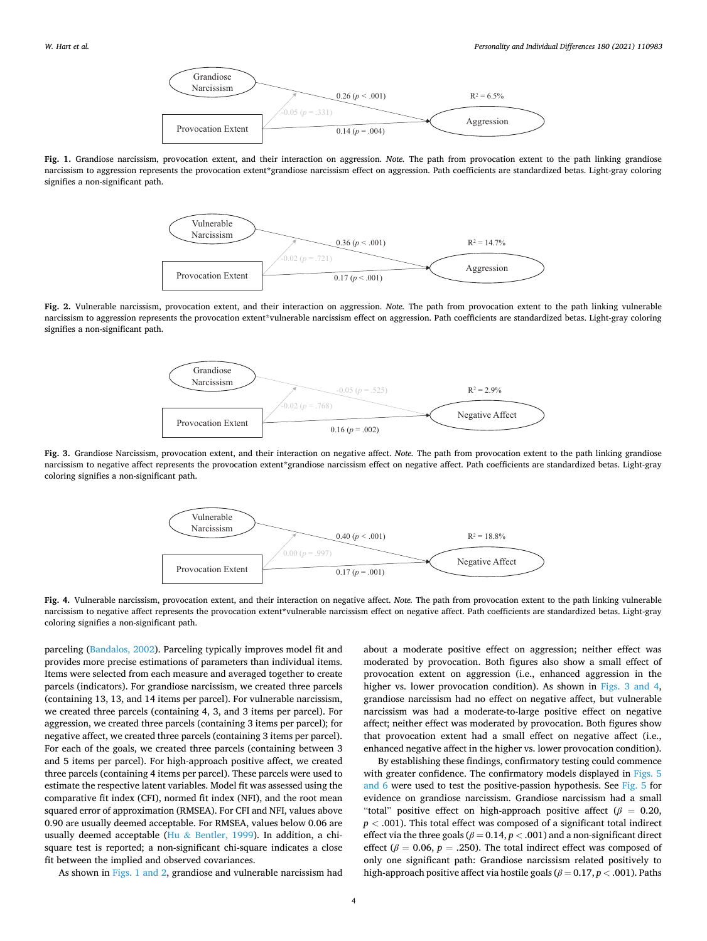

<span id="page-3-0"></span>**Fig. 1.** Grandiose narcissism, provocation extent, and their interaction on aggression. *Note.* The path from provocation extent to the path linking grandiose narcissism to aggression represents the provocation extent\*grandiose narcissism effect on aggression. Path coefficients are standardized betas. Light-gray coloring signifies a non-significant path.



**Fig. 2.** Vulnerable narcissism, provocation extent, and their interaction on aggression. *Note.* The path from provocation extent to the path linking vulnerable narcissism to aggression represents the provocation extent\*vulnerable narcissism effect on aggression. Path coefficients are standardized betas. Light-gray coloring signifies a non-significant path.



**Fig. 3.** Grandiose Narcissism, provocation extent, and their interaction on negative affect. *Note.* The path from provocation extent to the path linking grandiose narcissism to negative affect represents the provocation extent\*grandiose narcissism effect on negative affect. Path coefficients are standardized betas. Light-gray coloring signifies a non-significant path.



**Fig. 4.** Vulnerable narcissism, provocation extent, and their interaction on negative affect. *Note.* The path from provocation extent to the path linking vulnerable narcissism to negative affect represents the provocation extent\*vulnerable narcissism effect on negative affect. Path coefficients are standardized betas. Light-gray coloring signifies a non-significant path.

parceling ([Bandalos, 2002](#page-5-0)). Parceling typically improves model fit and provides more precise estimations of parameters than individual items. Items were selected from each measure and averaged together to create parcels (indicators). For grandiose narcissism, we created three parcels (containing 13, 13, and 14 items per parcel). For vulnerable narcissism, we created three parcels (containing 4, 3, and 3 items per parcel). For aggression, we created three parcels (containing 3 items per parcel); for negative affect, we created three parcels (containing 3 items per parcel). For each of the goals, we created three parcels (containing between 3 and 5 items per parcel). For high-approach positive affect, we created three parcels (containing 4 items per parcel). These parcels were used to estimate the respective latent variables. Model fit was assessed using the comparative fit index (CFI), normed fit index (NFI), and the root mean squared error of approximation (RMSEA). For CFI and NFI, values above 0.90 are usually deemed acceptable. For RMSEA, values below 0.06 are usually deemed acceptable (Hu & [Bentler, 1999\)](#page-6-0). In addition, a chisquare test is reported; a non-significant chi-square indicates a close fit between the implied and observed covariances.

As shown in Figs. 1 and 2, grandiose and vulnerable narcissism had

about a moderate positive effect on aggression; neither effect was moderated by provocation. Both figures also show a small effect of provocation extent on aggression (i.e., enhanced aggression in the higher vs. lower provocation condition). As shown in Figs. 3 and 4, grandiose narcissism had no effect on negative affect, but vulnerable narcissism was had a moderate-to-large positive effect on negative affect; neither effect was moderated by provocation. Both figures show that provocation extent had a small effect on negative affect (i.e., enhanced negative affect in the higher vs. lower provocation condition).

By establishing these findings, confirmatory testing could commence with greater confidence. The confirmatory models displayed in Figs. 5 [and 6](#page-4-0) were used to test the positive-passion hypothesis. See [Fig. 5](#page-4-0) for evidence on grandiose narcissism. Grandiose narcissism had a small "total" positive effect on high-approach positive affect (*β* = 0.20, *p <* .001). This total effect was composed of a significant total indirect effect via the three goals ( $\beta = 0.14$ ,  $p < .001$ ) and a non-significant direct effect ( $\beta$  = 0.06,  $p$  = .250). The total indirect effect was composed of only one significant path: Grandiose narcissism related positively to **EXERCISE ASSOCIATES**<br> **Hosting Control Properties and the second with the second with the second with the second widely and the second with the second widely and the second with the second widely and the second with the**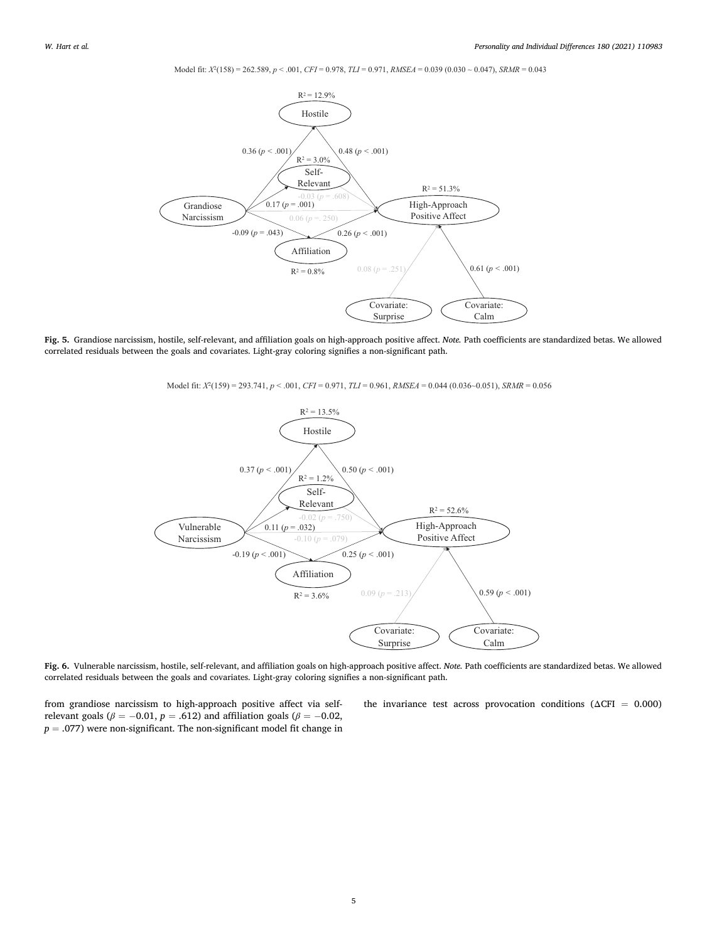Model fit: *X*2(158) = 262.589, *p* < .001, *CFI* = 0.978, *TLI* = 0.971, *RMSEA* = 0.039 (0.030 ~ 0.047), *SRMR* = 0.043

<span id="page-4-0"></span>

**Fig. 5.** Grandiose narcissism, hostile, self-relevant, and affiliation goals on high-approach positive affect. *Note.* Path coefficients are standardized betas. We allowed correlated residuals between the goals and covariates. Light-gray coloring signifies a non-significant path.

Model fit: *X*2(159) = 293.741, *p* < .001, *CFI* = 0.971, *TLI* = 0.961, *RMSEA* = 0.044 (0.036~0.051), *SRMR* = 0.056



**Fig. 6.** Vulnerable narcissism, hostile, self-relevant, and affiliation goals on high-approach positive affect. *Note.* Path coefficients are standardized betas. We allowed correlated residuals between the goals and covariates. Light-gray coloring signifies a non-significant path.

from grandiose narcissism to high-approach positive affect via selfrelevant goals ( $\beta$  = −0.01, *p* = .612) and affiliation goals ( $\beta$  = −0.02,  $p = .077$ ) were non-significant. The non-significant model fit change in

the invariance test across provocation conditions ( $\Delta$ CFI = 0.000)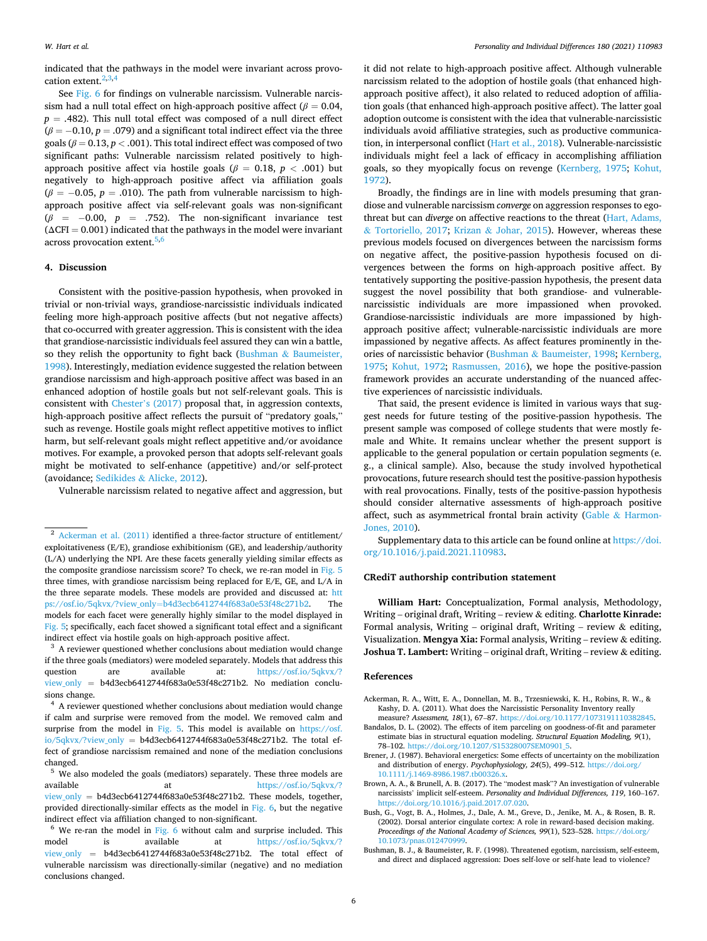<span id="page-5-0"></span>indicated that the pathways in the model were invariant across provocation extent. $2,3,4$ 

See [Fig. 6](#page-4-0) for findings on vulnerable narcissism. Vulnerable narcissism had a null total effect on high-approach positive affect ( $\beta = 0.04$ ,  $p = .482$ ). This null total effect was composed of a null direct effect  $(\beta = -0.10, p = .079)$  and a significant total indirect effect via the three goals ( $\beta$  = 0.13,  $p$  < .001). This total indirect effect was composed of two significant paths: Vulnerable narcissism related positively to highapproach positive affect via hostile goals ( $\beta$  = 0.18,  $p$  < .001) but negatively to high-approach positive affect via affiliation goals  $(\beta = -0.05, p = .010)$ . The path from vulnerable narcissism to highapproach positive affect via self-relevant goals was non-significant (*β* = − 0.00, *p* = .752). The non-significant invariance test  $(\Delta$ CFI = 0.001) indicated that the pathways in the model were invariant across provocation extent.<sup>5,6</sup>

# **4. Discussion**

Consistent with the positive-passion hypothesis, when provoked in trivial or non-trivial ways, grandiose-narcissistic individuals indicated feeling more high-approach positive affects (but not negative affects) that co-occurred with greater aggression. This is consistent with the idea that grandiose-narcissistic individuals feel assured they can win a battle, so they relish the opportunity to fight back (Bushman  $\&$  Baumeister, 1998). Interestingly, mediation evidence suggested the relation between grandiose narcissism and high-approach positive affect was based in an enhanced adoption of hostile goals but not self-relevant goals. This is consistent with Chester'[s \(2017\)](#page-6-0) proposal that, in aggression contexts, high-approach positive affect reflects the pursuit of "predatory goals," such as revenge. Hostile goals might reflect appetitive motives to inflict harm, but self-relevant goals might reflect appetitive and/or avoidance motives. For example, a provoked person that adopts self-relevant goals might be motivated to self-enhance (appetitive) and/or self-protect (avoidance; Sedikides & [Alicke, 2012\)](#page-6-0).

Vulnerable narcissism related to negative affect and aggression, but

it did not relate to high-approach positive affect. Although vulnerable narcissism related to the adoption of hostile goals (that enhanced highapproach positive affect), it also related to reduced adoption of affiliation goals (that enhanced high-approach positive affect). The latter goal adoption outcome is consistent with the idea that vulnerable-narcissistic individuals avoid affiliative strategies, such as productive communication, in interpersonal conflict ([Hart et al., 2018\)](#page-6-0). Vulnerable-narcissistic individuals might feel a lack of efficacy in accomplishing affiliation goals, so they myopically focus on revenge [\(Kernberg, 1975](#page-6-0); [Kohut,](#page-6-0)  [1972\)](#page-6-0).

Broadly, the findings are in line with models presuming that grandiose and vulnerable narcissism *converge* on aggression responses to egothreat but can *diverge* on affective reactions to the threat [\(Hart, Adams,](#page-6-0)  & [Tortoriello, 2017](#page-6-0); Krizan & [Johar, 2015\)](#page-6-0). However, whereas these previous models focused on divergences between the narcissism forms on negative affect, the positive-passion hypothesis focused on divergences between the forms on high-approach positive affect. By tentatively supporting the positive-passion hypothesis, the present data suggest the novel possibility that both grandiose- and vulnerablenarcissistic individuals are more impassioned when provoked. Grandiose-narcissistic individuals are more impassioned by highapproach positive affect; vulnerable-narcissistic individuals are more impassioned by negative affects. As affect features prominently in theories of narcissistic behavior (Bushman & Baumeister, 1998; [Kernberg,](#page-6-0)  [1975;](#page-6-0) [Kohut, 1972](#page-6-0); [Rasmussen, 2016](#page-6-0)), we hope the positive-passion framework provides an accurate understanding of the nuanced affective experiences of narcissistic individuals.

That said, the present evidence is limited in various ways that suggest needs for future testing of the positive-passion hypothesis. The present sample was composed of college students that were mostly female and White. It remains unclear whether the present support is applicable to the general population or certain population segments (e. g., a clinical sample). Also, because the study involved hypothetical provocations, future research should test the positive-passion hypothesis with real provocations. Finally, tests of the positive-passion hypothesis should consider alternative assessments of high-approach positive affect, such as asymmetrical frontal brain activity (Gable  $\&$  [Harmon-](#page-6-0)[Jones, 2010\)](#page-6-0).

Supplementary data to this article can be found online at [https://doi.](https://doi.org/10.1016/j.paid.2021.110983)  [org/10.1016/j.paid.2021.110983.](https://doi.org/10.1016/j.paid.2021.110983)

### **CRediT authorship contribution statement**

**William Hart:** Conceptualization, Formal analysis, Methodology, Writing – original draft, Writing – review & editing. **Charlotte Kinrade:**  Formal analysis, Writing – original draft, Writing – review  $\&$  editing, Visualization. **Mengya Xia:** Formal analysis, Writing – review & editing. **Joshua T. Lambert:** Writing – original draft, Writing – review & editing.

#### **References**

- Ackerman, R. A., Witt, E. A., Donnellan, M. B., Trzesniewski, K. H., Robins, R. W., & Kashy, D. A. (2011). What does the Narcissistic Personality Inventory really measure? *Assessment, 18*(1), 67–87. [https://doi.org/10.1177/1073191110382845.](https://doi.org/10.1177/1073191110382845)
- Bandalos, D. L. (2002). The effects of item parceling on goodness-of-fit and parameter estimate bias in structural equation modeling. *Structural Equation Modeling, 9*(1), 78–102. [https://doi.org/10.1207/S15328007SEM0901\\_5](https://doi.org/10.1207/S15328007SEM0901_5).
- Brener, J. (1987). Behavioral energetics: Some effects of uncertainty on the mobilization and distribution of energy. *Psychophysiology, 24*(5), 499–512. [https://doi.org/](https://doi.org/10.1111/j.1469-8986.1987.tb00326.x)  [10.1111/j.1469-8986.1987.tb00326.x](https://doi.org/10.1111/j.1469-8986.1987.tb00326.x).
- Brown, A. A., & Brunell, A. B. (2017). The "modest mask"? An investigation of vulnerable narcissists' implicit self-esteem. *Personality and Individual Differences, 119*, 160–167. [https://doi.org/10.1016/j.paid.2017.07.020.](https://doi.org/10.1016/j.paid.2017.07.020)
- Bush, G., Vogt, B. A., Holmes, J., Dale, A. M., Greve, D., Jenike, M. A., & Rosen, B. R. (2002). Dorsal anterior cingulate cortex: A role in reward-based decision making. *Proceedings of the National Academy of Sciences, 99*(1), 523–528. [https://doi.org/](https://doi.org/10.1073/pnas.012470999)  [10.1073/pnas.012470999](https://doi.org/10.1073/pnas.012470999).
- Bushman, B. J., & Baumeister, R. F. (1998). Threatened egotism, narcissism, self-esteem, and direct and displaced aggression: Does self-love or self-hate lead to violence?

<sup>&</sup>lt;sup>2</sup> Ackerman et al. (2011) identified a three-factor structure of entitlement/ exploitativeness (E/E), grandiose exhibitionism (GE), and leadership/authority (L/A) underlying the NPI. Are these facets generally yielding similar effects as the composite grandiose narcissism score? To check, we re-ran model in [Fig. 5](#page-4-0)  three times, with grandiose narcissism being replaced for E/E, GE, and L/A in the three separate models. These models are provided and discussed at: [htt](https://osf.io/5qkvx/?view_only=b4d3ecb6412744f683a0e53f48c271b2)  ps://osf.io/5qkvx/?view\_only=[b4d3ecb6412744f683a0e53f48c271b2](https://osf.io/5qkvx/?view_only=b4d3ecb6412744f683a0e53f48c271b2). The models for each facet were generally highly similar to the model displayed in [Fig. 5;](#page-4-0) specifically, each facet showed a significant total effect and a significant indirect effect via hostile goals on high-approach positive affect.  $3$  A reviewer questioned whether conclusions about mediation would change

if the three goals (mediators) were modeled separately. Models that address this question are available at: [https://osf.io/5qkvx/?](https://osf.io/5qkvx/?view_only)  [view\\_only](https://osf.io/5qkvx/?view_only) = b4d3ecb6412744f683a0e53f48c271b2. No mediation conclusions change.<br><sup>4</sup> A reviewer questioned whether conclusions about mediation would change

if calm and surprise were removed from the model. We removed calm and surprise from the model in [Fig. 5.](#page-4-0) This model is available on https://osf.  $io/5qkvx/?view\_only = b4d3ecb6412744f683a0e53f48c271b2.$  The total effect of grandiose narcissism remained and none of the mediation conclusions changed.

<sup>&</sup>lt;sup>5</sup> We also modeled the goals (mediators) separately. These three models are available at  $\frac{\text{https://osfio/5akvx/}}{\text{https://osfio/5akvx/}}$ at https://osf.io/5qkvx/? view only = b4d3ecb6412744f683a0e53f48c271b2. These models, together, provided directionally-similar effects as the model in [Fig. 6,](#page-4-0) but the negative indirect effect via affiliation changed to non-significant. 6 We re-ran the model in [Fig. 6](#page-4-0) without calm and surprise included. This

model is available at [https://osf.io/5qkvx/?](https://osf.io/5qkvx/?view_only)  view only =  $b4d3ecb6412744f683a0e53f48c271b2$ . The total effect of vulnerable narcissism was directionally-similar (negative) and no mediation conclusions changed.